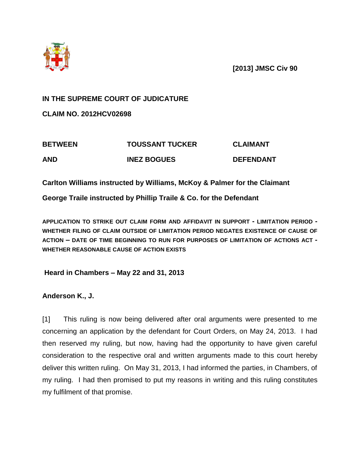

**[2013] JMSC Civ 90**

## **IN THE SUPREME COURT OF JUDICATURE**

**CLAIM NO. 2012HCV02698**

| <b>BETWEEN</b> | <b>TOUSSANT TUCKER</b> | <b>CLAIMANT</b>  |
|----------------|------------------------|------------------|
| <b>AND</b>     | <b>INEZ BOGUES</b>     | <b>DEFENDANT</b> |

**Carlton Williams instructed by Williams, McKoy & Palmer for the Claimant**

**George Traile instructed by Phillip Traile & Co. for the Defendant**

**APPLICATION TO STRIKE OUT CLAIM FORM AND AFFIDAVIT IN SUPPORT - LIMITATION PERIOD - WHETHER FILING OF CLAIM OUTSIDE OF LIMITATION PERIOD NEGATES EXISTENCE OF CAUSE OF ACTION – DATE OF TIME BEGINNING TO RUN FOR PURPOSES OF LIMITATION OF ACTIONS ACT - WHETHER REASONABLE CAUSE OF ACTION EXISTS**

**Heard in Chambers – May 22 and 31, 2013**

**Anderson K., J.**

[1] This ruling is now being delivered after oral arguments were presented to me concerning an application by the defendant for Court Orders, on May 24, 2013. I had then reserved my ruling, but now, having had the opportunity to have given careful consideration to the respective oral and written arguments made to this court hereby deliver this written ruling. On May 31, 2013, I had informed the parties, in Chambers, of my ruling. I had then promised to put my reasons in writing and this ruling constitutes my fulfilment of that promise.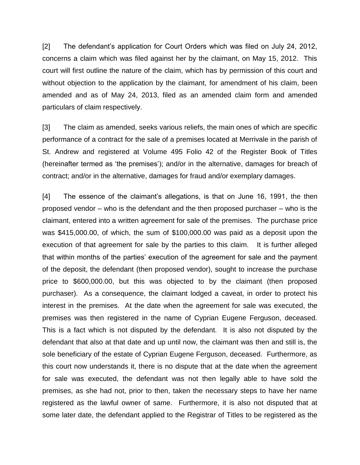[2] The defendant's application for Court Orders which was filed on July 24, 2012, concerns a claim which was filed against her by the claimant, on May 15, 2012. This court will first outline the nature of the claim, which has by permission of this court and without objection to the application by the claimant, for amendment of his claim, been amended and as of May 24, 2013, filed as an amended claim form and amended particulars of claim respectively.

[3] The claim as amended, seeks various reliefs, the main ones of which are specific performance of a contract for the sale of a premises located at Merrivale in the parish of St. Andrew and registered at Volume 495 Folio 42 of the Register Book of Titles (hereinafter termed as 'the premises'); and/or in the alternative, damages for breach of contract; and/or in the alternative, damages for fraud and/or exemplary damages.

[4] The essence of the claimant's allegations, is that on June 16, 1991, the then proposed vendor – who is the defendant and the then proposed purchaser – who is the claimant, entered into a written agreement for sale of the premises. The purchase price was \$415,000.00, of which, the sum of \$100,000.00 was paid as a deposit upon the execution of that agreement for sale by the parties to this claim. It is further alleged that within months of the parties' execution of the agreement for sale and the payment of the deposit, the defendant (then proposed vendor), sought to increase the purchase price to \$600,000.00, but this was objected to by the claimant (then proposed purchaser). As a consequence, the claimant lodged a caveat, in order to protect his interest in the premises. At the date when the agreement for sale was executed, the premises was then registered in the name of Cyprian Eugene Ferguson, deceased. This is a fact which is not disputed by the defendant. It is also not disputed by the defendant that also at that date and up until now, the claimant was then and still is, the sole beneficiary of the estate of Cyprian Eugene Ferguson, deceased. Furthermore, as this court now understands it, there is no dispute that at the date when the agreement for sale was executed, the defendant was not then legally able to have sold the premises, as she had not, prior to then, taken the necessary steps to have her name registered as the lawful owner of same. Furthermore, it is also not disputed that at some later date, the defendant applied to the Registrar of Titles to be registered as the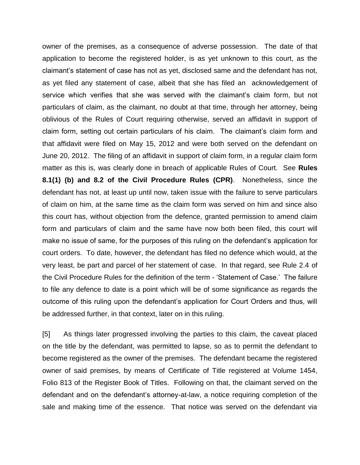owner of the premises, as a consequence of adverse possession. The date of that application to become the registered holder, is as yet unknown to this court, as the claimant's statement of case has not as yet, disclosed same and the defendant has not, as yet filed any statement of case, albeit that she has filed an acknowledgement of service which verifies that she was served with the claimant's claim form, but not particulars of claim, as the claimant, no doubt at that time, through her attorney, being oblivious of the Rules of Court requiring otherwise, served an affidavit in support of claim form, setting out certain particulars of his claim. The claimant's claim form and that affidavit were filed on May 15, 2012 and were both served on the defendant on June 20, 2012. The filing of an affidavit in support of claim form, in a regular claim form matter as this is, was clearly done in breach of applicable Rules of Court. See **Rules 8.1(1) (b) and 8.2 of the Civil Procedure Rules (CPR)**. Nonetheless, since the defendant has not, at least up until now, taken issue with the failure to serve particulars of claim on him, at the same time as the claim form was served on him and since also this court has, without objection from the defence, granted permission to amend claim form and particulars of claim and the same have now both been filed, this court will make no issue of same, for the purposes of this ruling on the defendant's application for court orders. To date, however, the defendant has filed no defence which would, at the very least, be part and parcel of her statement of case. In that regard, see Rule 2.4 of the Civil Procedure Rules for the definition of the term - 'Statement of Case.' The failure to file any defence to date is a point which will be of some significance as regards the outcome of this ruling upon the defendant's application for Court Orders and thus, will be addressed further, in that context, later on in this ruling.

[5] As things later progressed involving the parties to this claim, the caveat placed on the title by the defendant, was permitted to lapse, so as to permit the defendant to become registered as the owner of the premises. The defendant became the registered owner of said premises, by means of Certificate of Title registered at Volume 1454, Folio 813 of the Register Book of Titles. Following on that, the claimant served on the defendant and on the defendant's attorney-at-law, a notice requiring completion of the sale and making time of the essence. That notice was served on the defendant via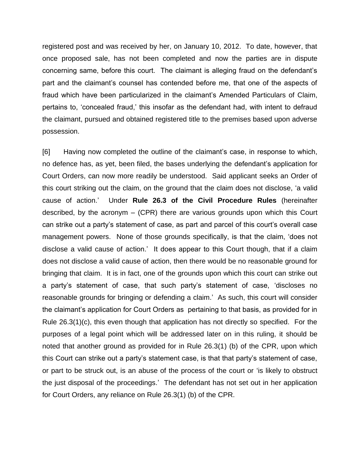registered post and was received by her, on January 10, 2012. To date, however, that once proposed sale, has not been completed and now the parties are in dispute concerning same, before this court. The claimant is alleging fraud on the defendant's part and the claimant's counsel has contended before me, that one of the aspects of fraud which have been particularized in the claimant's Amended Particulars of Claim, pertains to, 'concealed fraud,' this insofar as the defendant had, with intent to defraud the claimant, pursued and obtained registered title to the premises based upon adverse possession.

[6] Having now completed the outline of the claimant's case, in response to which, no defence has, as yet, been filed, the bases underlying the defendant's application for Court Orders, can now more readily be understood. Said applicant seeks an Order of this court striking out the claim, on the ground that the claim does not disclose, 'a valid cause of action.' Under **Rule 26.3 of the Civil Procedure Rules** (hereinafter described, by the acronym – (CPR) there are various grounds upon which this Court can strike out a party's statement of case, as part and parcel of this court's overall case management powers. None of those grounds specifically, is that the claim, 'does not disclose a valid cause of action.' It does appear to this Court though, that if a claim does not disclose a valid cause of action, then there would be no reasonable ground for bringing that claim. It is in fact, one of the grounds upon which this court can strike out a party's statement of case, that such party's statement of case, 'discloses no reasonable grounds for bringing or defending a claim.' As such, this court will consider the claimant's application for Court Orders as pertaining to that basis, as provided for in Rule 26.3(1)(c), this even though that application has not directly so specified. For the purposes of a legal point which will be addressed later on in this ruling, it should be noted that another ground as provided for in Rule 26.3(1) (b) of the CPR, upon which this Court can strike out a party's statement case, is that that party's statement of case, or part to be struck out, is an abuse of the process of the court or 'is likely to obstruct the just disposal of the proceedings.' The defendant has not set out in her application for Court Orders, any reliance on Rule 26.3(1) (b) of the CPR.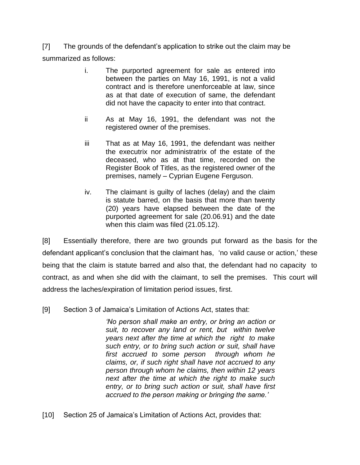[7] The grounds of the defendant's application to strike out the claim may be summarized as follows:

- i. The purported agreement for sale as entered into between the parties on May 16, 1991, is not a valid contract and is therefore unenforceable at law, since as at that date of execution of same, the defendant did not have the capacity to enter into that contract.
- ii As at May 16, 1991, the defendant was not the registered owner of the premises.
- iii That as at May 16, 1991, the defendant was neither the executrix nor administratrix of the estate of the deceased, who as at that time, recorded on the Register Book of Titles, as the registered owner of the premises, namely – Cyprian Eugene Ferguson.
- iv. The claimant is guilty of laches (delay) and the claim is statute barred, on the basis that more than twenty (20) years have elapsed between the date of the purported agreement for sale (20.06.91) and the date when this claim was filed (21.05.12).

[8] Essentially therefore, there are two grounds put forward as the basis for the defendant applicant's conclusion that the claimant has, 'no valid cause or action,' these being that the claim is statute barred and also that, the defendant had no capacity to contract, as and when she did with the claimant, to sell the premises. This court will address the laches/expiration of limitation period issues, first.

[9] Section 3 of Jamaica's Limitation of Actions Act, states that:

*'No person shall make an entry, or bring an action or suit, to recover any land or rent, but within twelve years next after the time at which the right to make such entry, or to bring such action or suit, shall have first accrued to some person through whom he claims, or, if such right shall have not accrued to any person through whom he claims, then within 12 years next after the time at which the right to make such entry, or to bring such action or suit, shall have first accrued to the person making or bringing the same.'*

[10] Section 25 of Jamaica's Limitation of Actions Act, provides that: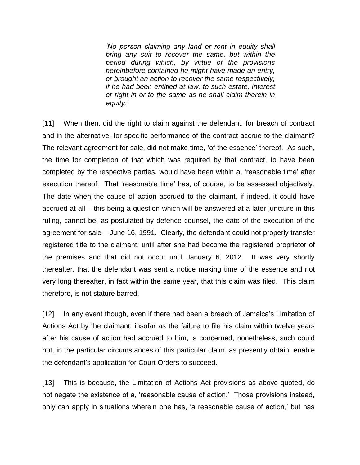*'No person claiming any land or rent in equity shall bring any suit to recover the same, but within the period during which, by virtue of the provisions hereinbefore contained he might have made an entry, or brought an action to recover the same respectively, if he had been entitled at law, to such estate, interest or right in or to the same as he shall claim therein in equity.'*

[11] When then, did the right to claim against the defendant, for breach of contract and in the alternative, for specific performance of the contract accrue to the claimant? The relevant agreement for sale, did not make time, 'of the essence' thereof. As such, the time for completion of that which was required by that contract, to have been completed by the respective parties, would have been within a, 'reasonable time' after execution thereof. That 'reasonable time' has, of course, to be assessed objectively. The date when the cause of action accrued to the claimant, if indeed, it could have accrued at all – this being a question which will be answered at a later juncture in this ruling, cannot be, as postulated by defence counsel, the date of the execution of the agreement for sale – June 16, 1991. Clearly, the defendant could not properly transfer registered title to the claimant, until after she had become the registered proprietor of the premises and that did not occur until January 6, 2012. It was very shortly thereafter, that the defendant was sent a notice making time of the essence and not very long thereafter, in fact within the same year, that this claim was filed. This claim therefore, is not stature barred.

[12] In any event though, even if there had been a breach of Jamaica's Limitation of Actions Act by the claimant, insofar as the failure to file his claim within twelve years after his cause of action had accrued to him, is concerned, nonetheless, such could not, in the particular circumstances of this particular claim, as presently obtain, enable the defendant's application for Court Orders to succeed.

[13] This is because, the Limitation of Actions Act provisions as above-quoted, do not negate the existence of a, 'reasonable cause of action.' Those provisions instead, only can apply in situations wherein one has, 'a reasonable cause of action,' but has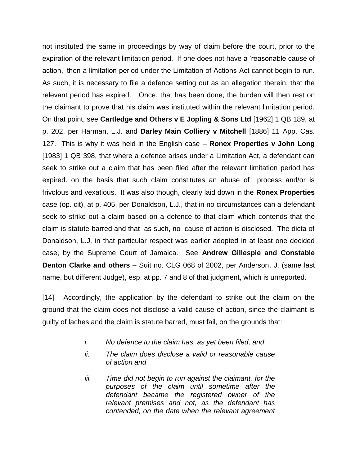not instituted the same in proceedings by way of claim before the court, prior to the expiration of the relevant limitation period. If one does not have a 'reasonable cause of action,' then a limitation period under the Limitation of Actions Act cannot begin to run. As such, it is necessary to file a defence setting out as an allegation therein, that the relevant period has expired. Once, that has been done, the burden will then rest on the claimant to prove that his claim was instituted within the relevant limitation period. On that point, see **Cartledge and Others v E Jopling & Sons Ltd** [1962] 1 QB 189, at p. 202, per Harman, L.J. and **Darley Main Colliery v Mitchell** [1886] 11 App. Cas. 127. This is why it was held in the English case – **Ronex Properties v John Long** [1983] 1 QB 398, that where a defence arises under a Limitation Act, a defendant can seek to strike out a claim that has been filed after the relevant limitation period has expired. on the basis that such claim constitutes an abuse of process and/or is frivolous and vexatious. It was also though, clearly laid down in the **Ronex Properties** case (op. cit), at p. 405, per Donaldson, L.J., that in no circumstances can a defendant seek to strike out a claim based on a defence to that claim which contends that the claim is statute-barred and that as such, no cause of action is disclosed. The dicta of Donaldson, L.J. in that particular respect was earlier adopted in at least one decided case, by the Supreme Court of Jamaica. See **Andrew Gillespie and Constable Denton Clarke and others** – Suit no. CLG 068 of 2002, per Anderson, J. (same last name, but different Judge), esp. at pp. 7 and 8 of that judgment, which is unreported.

[14] Accordingly, the application by the defendant to strike out the claim on the ground that the claim does not disclose a valid cause of action, since the claimant is guilty of laches and the claim is statute barred, must fail, on the grounds that:

- *i. No defence to the claim has, as yet been filed, and*
- *ii. The claim does disclose a valid or reasonable cause of action and*
- *iii. Time did not begin to run against the claimant, for the purposes of the claim until sometime after the defendant became the registered owner of the relevant premises and not, as the defendant has contended, on the date when the relevant agreement*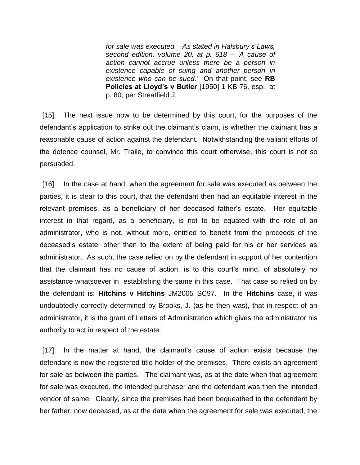*for sale was executed. As stated in Halsbury's Laws, second edition, volume 20, at p. 618 – 'A cause of action cannot accrue unless there be a person in existence capable of suing and another person in existence who can be sued.'* On that point, see **RB Policies at Lloyd's v Butler** [1950] 1 KB 76, esp., at p. 80, per Streatfield J.

[15] The next issue now to be determined by this court, for the purposes of the defendant's application to strike out the claimant's claim, is whether the claimant has a reasonable cause of action against the defendant. Notwithstanding the valiant efforts of the defence counsel, Mr. Traile, to convince this court otherwise, this court is not so persuaded.

[16] In the case at hand, when the agreement for sale was executed as between the parties, it is clear to this court, that the defendant then had an equitable interest in the relevant premises, as a beneficiary of her deceased father's estate. Her equitable interest in that regard, as a beneficiary, is not to be equated with the role of an administrator, who is not, without more, entitled to benefit from the proceeds of the deceased's estate, other than to the extent of being paid for his or her services as administrator. As such, the case relied on by the defendant in support of her contention that the claimant has no cause of action, is to this court's mind, of absolutely no assistance whatsoever in establishing the same in this case. That case so relied on by the defendant is: **Hitchins v Hitchins** JM2005 SC97. In the **Hitchins** case, it was undoubtedly correctly determined by Brooks, J. (as he then was), that in respect of an administrator, it is the grant of Letters of Administration which gives the administrator his authority to act in respect of the estate.

[17] In the matter at hand, the claimant's cause of action exists because the defendant is now the registered title holder of the premises. There exists an agreement for sale as between the parties. The claimant was, as at the date when that agreement for sale was executed, the intended purchaser and the defendant was then the intended vendor of same. Clearly, since the premises had been bequeathed to the defendant by her father, now deceased, as at the date when the agreement for sale was executed, the